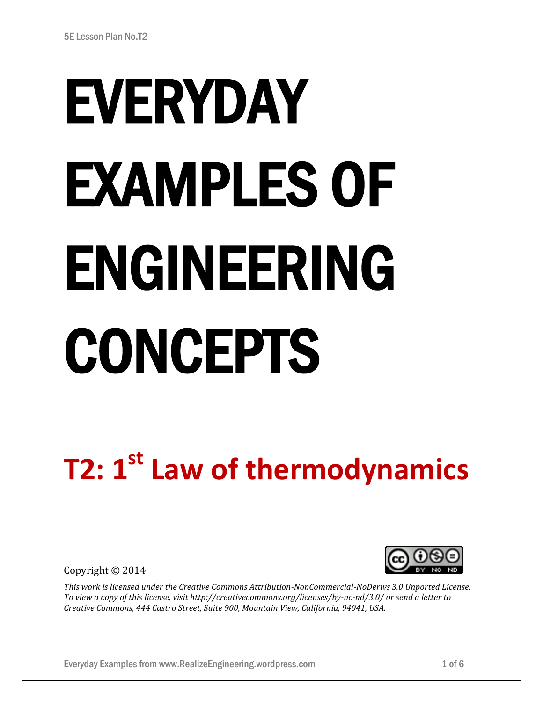# EVERYDAY EXAMPLES OF ENGINEERING CONCEPTS

# **T2: 1 st Law of thermodynamics**

Copyright © 2014



*This work is licensed under the Creative Commons Attribution-NonCommercial-NoDerivs 3.0 Unported License. To view a copy of this license, visit http://creativecommons.org/licenses/by-nc-nd/3.0/ or send a letter to Creative Commons, 444 Castro Street, Suite 900, Mountain View, California, 94041, USA.*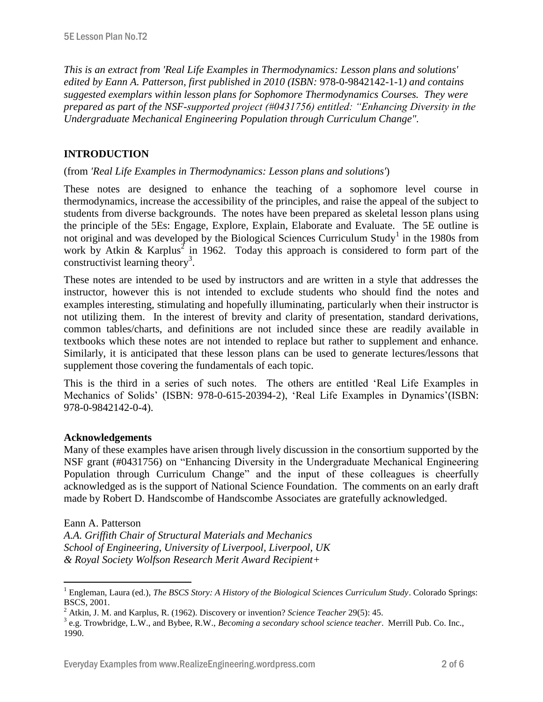*This is an extract from 'Real Life Examples in Thermodynamics: Lesson plans and solutions' edited by Eann A. Patterson, first published in 2010 (ISBN:* 978-0-9842142-1-1*) and contains suggested exemplars within lesson plans for Sophomore Thermodynamics Courses. They were prepared as part of the NSF-supported project (#0431756) entitled: "Enhancing Diversity in the Undergraduate Mechanical Engineering Population through Curriculum Change".* 

# **INTRODUCTION**

# (from *'Real Life Examples in Thermodynamics: Lesson plans and solutions'*)

These notes are designed to enhance the teaching of a sophomore level course in thermodynamics, increase the accessibility of the principles, and raise the appeal of the subject to students from diverse backgrounds. The notes have been prepared as skeletal lesson plans using the principle of the 5Es: Engage, Explore, Explain, Elaborate and Evaluate. The 5E outline is not original and was developed by the Biological Sciences Curriculum Study<sup>1</sup> in the 1980s from work by Atkin & Karplus<sup>2</sup> in 1962. Today this approach is considered to form part of the constructivist learning theory<sup>3</sup>.

These notes are intended to be used by instructors and are written in a style that addresses the instructor, however this is not intended to exclude students who should find the notes and examples interesting, stimulating and hopefully illuminating, particularly when their instructor is not utilizing them. In the interest of brevity and clarity of presentation, standard derivations, common tables/charts, and definitions are not included since these are readily available in textbooks which these notes are not intended to replace but rather to supplement and enhance. Similarly, it is anticipated that these lesson plans can be used to generate lectures/lessons that supplement those covering the fundamentals of each topic.

This is the third in a series of such notes. The others are entitled 'Real Life Examples in Mechanics of Solids' (ISBN: 978-0-615-20394-2), 'Real Life Examples in Dynamics'(ISBN: 978-0-9842142-0-4).

# **Acknowledgements**

Many of these examples have arisen through lively discussion in the consortium supported by the NSF grant (#0431756) on "Enhancing Diversity in the Undergraduate Mechanical Engineering Population through Curriculum Change" and the input of these colleagues is cheerfully acknowledged as is the support of National Science Foundation. The comments on an early draft made by Robert D. Handscombe of Handscombe Associates are gratefully acknowledged.

#### Eann A. Patterson

 $\overline{a}$ 

*A.A. Griffith Chair of Structural Materials and Mechanics School of Engineering, University of Liverpool, Liverpool, UK & Royal Society Wolfson Research Merit Award Recipient+*

<sup>1</sup> Engleman, Laura (ed.), *The BSCS Story: A History of the Biological Sciences Curriculum Study*. Colorado Springs: BSCS, 2001.

<sup>2</sup> Atkin, J. M. and Karplus, R. (1962). Discovery or invention? *Science Teacher* 29(5): 45.

<sup>3</sup> e.g. Trowbridge, L.W., and Bybee, R.W., *Becoming a secondary school science teacher*. Merrill Pub. Co. Inc., 1990.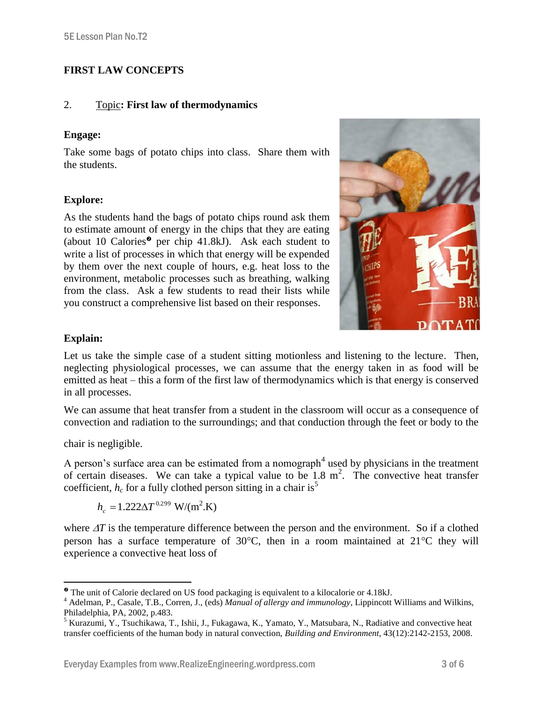# **FIRST LAW CONCEPTS**

# 2. Topic**: First law of thermodynamics**

# **Engage:**

Take some bags of potato chips into class. Share them with the students.

# **Explore:**

As the students hand the bags of potato chips round ask them to estimate amount of energy in the chips that they are eating (about 10 Calories<sup> $\bullet$ </sup> per chip 41.8kJ). Ask each student to write a list of processes in which that energy will be expended by them over the next couple of hours, e.g. heat loss to the environment, metabolic processes such as breathing, walking from the class. Ask a few students to read their lists while you construct a comprehensive list based on their responses.



# **Explain:**

Let us take the simple case of a student sitting motionless and listening to the lecture. Then, neglecting physiological processes, we can assume that the energy taken in as food will be emitted as heat – this a form of the first law of thermodynamics which is that energy is conserved in all processes.

We can assume that heat transfer from a student in the classroom will occur as a consequence of convection and radiation to the surroundings; and that conduction through the feet or body to the

chair is negligible.

A person's surface area can be estimated from a nomograph<sup>4</sup> used by physicians in the treatment of certain diseases. We can take a typical value to be  $1.8 \text{ m}^2$ . The convective heat transfer coefficient,  $h_c$  for a fully clothed person sitting in a chair is<sup>5</sup>

$$
h_c = 1.222 \Delta T^{0.299}
$$
 W/(m<sup>2</sup>.K)

where  $\Delta T$  is the temperature difference between the person and the environment. So if a clothed person has a surface temperature of  $30^{\circ}$ C, then in a room maintained at  $21^{\circ}$ C they will experience a convective heat loss of

 $\overline{a}$ The unit of Calorie declared on US food packaging is equivalent to a kilocalorie or 4.18kJ.

<sup>4</sup> Adelman, P., Casale, T.B., Corren, J., (eds) *Manual of allergy and immunology*, Lippincott Williams and Wilkins, Philadelphia, PA, 2002, p.483.

<sup>&</sup>lt;sup>5</sup> Kurazumi, Y., Tsuchikawa, T., Ishii, J., Fukagawa, K., Yamato, Y., Matsubara, N., Radiative and convective heat transfer coefficients of the human body in natural convection, *Building and Environment*, 43(12):2142-2153, 2008.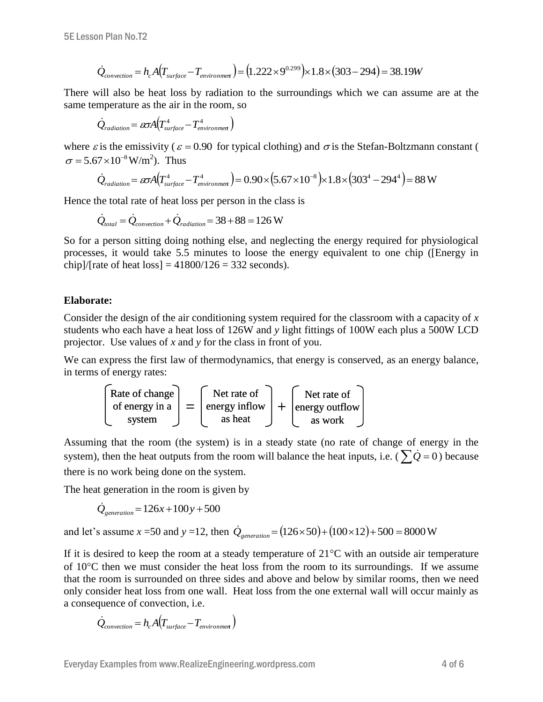$$
\dot{Q}_{convection} = h_c A (T_{surface} - T_{environment}) = (1.222 \times 9^{0.299}) \times 1.8 \times (303 - 294) = 38.19W
$$

There will also be heat loss by radiation to the surroundings which we can assume are at the same temperature as the air in the room, so

$$
\dot{Q}_{radiation} = \omega A (T_{surface}^4 - T_{environment}^4)
$$

where  $\varepsilon$  is the emissivity ( $\varepsilon$  = 0.90 for typical clothing) and  $\sigma$  is the Stefan-Boltzmann constant (  $\sigma = 5.67 \times 10^{-8} \,\text{W/m}^2$ ). Thus

$$
\dot{Q}_{radiation} = \omega A (T_{surface}^4 - T_{environment}^4) = 0.90 \times (5.67 \times 10^{-8}) \times 1.8 \times (303^4 - 294^4) = 88 \text{ W}
$$

Hence the total rate of heat loss per person in the class is

$$
\dot{Q}_{total} = \dot{Q}_{convection} + \dot{Q}_{radiation} = 38 + 88 = 126 \text{ W}
$$

So for a person sitting doing nothing else, and neglecting the energy required for physiological processes, it would take 5.5 minutes to loose the energy equivalent to one chip ([Energy in chip]/[rate of heat loss] =  $41800/126 = 332$  seconds).

# **Elaborate:**

Consider the design of the air conditioning system required for the classroom with a capacity of *x* students who each have a heat loss of 126W and *y* light fittings of 100W each plus a 500W LCD projector. Use values of *x* and *y* for the class in front of you.

We can express the first law of thermodynamics, that energy is conserved, as an energy balance, in terms of energy rates:



Assuming that the room (the system) is in a steady state (no rate of change of energy in the system), then the heat outputs from the room will balance the heat inputs, i.e. ( $\sum \dot{Q} = 0$ ) because there is no work being done on the system.

The heat generation in the room is given by

$$
\dot{Q}_{generation} = 126x + 100y + 500
$$

and let's assume  $x = 50$  and  $y = 12$ , then  $\dot{Q}_{generation} = (126 \times 50) + (100 \times 12) + 500 = 8000$  W

If it is desired to keep the room at a steady temperature of  $21^{\circ}$ C with an outside air temperature of  $10^{\circ}$ C then we must consider the heat loss from the room to its surroundings. If we assume that the room is surrounded on three sides and above and below by similar rooms, then we need only consider heat loss from one wall. Heat loss from the one external wall will occur mainly as a consequence of convection, i.e.

$$
\dot{Q}_{convection} = h_c A (T_{surface} - T_{environment})
$$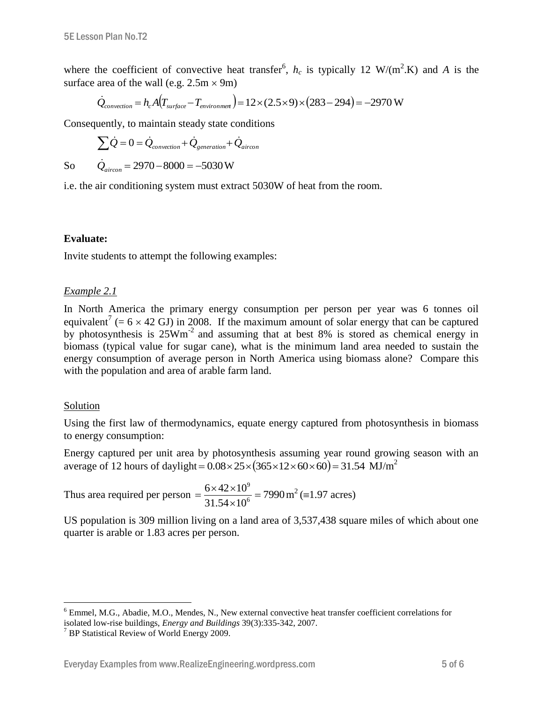where the coefficient of convective heat transfer<sup>6</sup>,  $h_c$  is typically 12 W/(m<sup>2</sup>.K) and A is the surface area of the wall (e.g.  $2.5m \times 9m$ )

$$
\dot{Q}_{convection} = h_c A (T_{surface} - T_{environment}) = 12 \times (2.5 \times 9) \times (283 - 294) = -2970 \text{ W}
$$

Consequently, to maintain steady state conditions

$$
\sum \dot{Q} = 0 = \dot{Q}_{convection} + \dot{Q}_{generation} + \dot{Q}_{aircon}
$$

$$
\dot{Q}_{aircon} = 2970 - 8000 = -5030 \text{ W}
$$

So

i.e. the air conditioning system must extract 5030W of heat from the room.

# **Evaluate:**

Invite students to attempt the following examples:

# *Example 2.1*

In North America the primary energy consumption per person per year was 6 tonnes oil equivalent<sup>7</sup> (=  $6 \times 42$  GJ) in 2008. If the maximum amount of solar energy that can be captured by photosynthesis is 25Wm-2 and assuming that at best 8% is stored as chemical energy in biomass (typical value for sugar cane), what is the minimum land area needed to sustain the energy consumption of average person in North America using biomass alone? Compare this with the population and area of arable farm land.

#### Solution

 $\overline{a}$ 

Using the first law of thermodynamics, equate energy captured from photosynthesis in biomass to energy consumption:

Energy captured per unit area by photosynthesis assuming year round growing season with an average of 12 hours of daylight =  $0.08 \times 25 \times (365 \times 12 \times 60 \times 60) = 31.54$  MJ/m<sup>2</sup>

Thus area required per person  $=\frac{6 \times 42 \times 10}{24.54 \times 10^6} = 7990$  $31.54 \times 10$  $6 \times 42 \times 10$ 6 9  $=$  $\times$  $=\frac{6\times42\times10^{9}}{24.7\times10^{6}}$  = 7990 m<sup>2</sup> (=1.97 acres)

US population is 309 million living on a land area of 3,537,438 square miles of which about one quarter is arable or 1.83 acres per person.

<sup>&</sup>lt;sup>6</sup> Emmel, M.G., Abadie, M.O., Mendes, N., New external convective heat transfer coefficient correlations for isolated low-rise buildings, *Energy and Buildings* 39(3):335-342, 2007.

 $7$  BP Statistical Review of World Energy 2009.